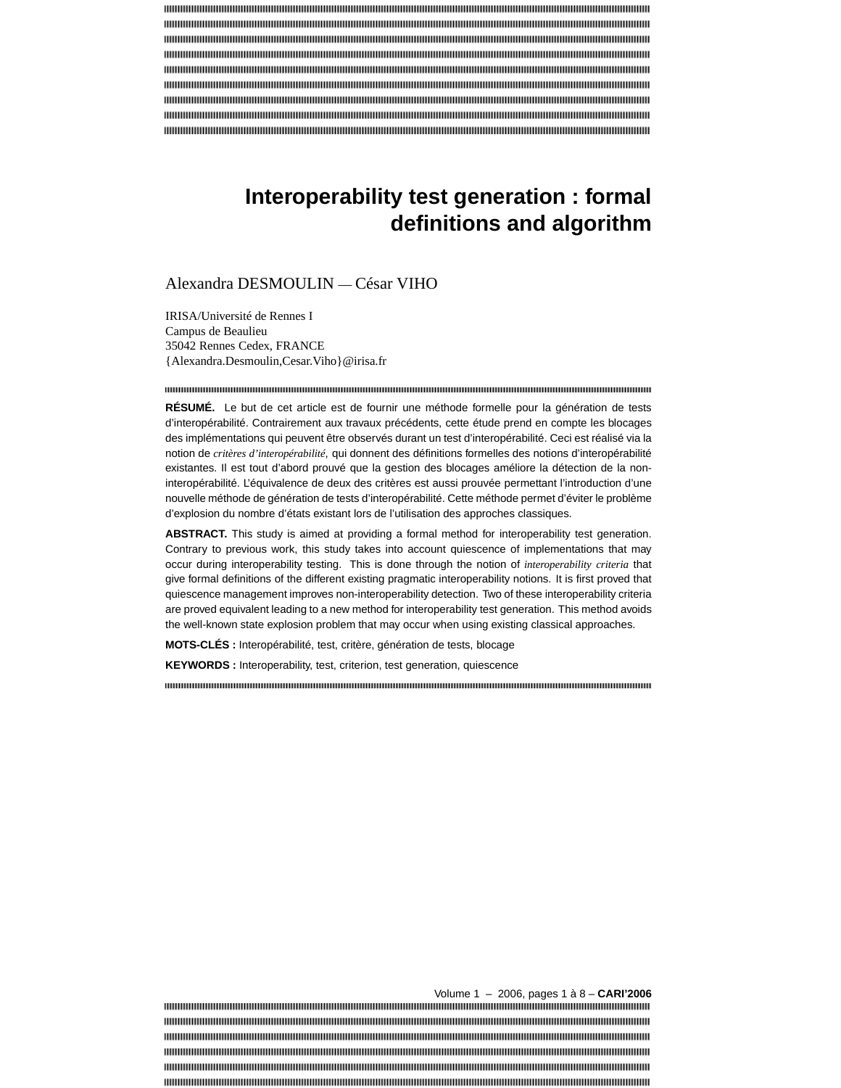# **Interoperability test generation : formal definitions and algorithm**

# Alexandra DESMOULIN — César VIHO

IRISA/Université de Rennes I Campus de Beaulieu 35042 Rennes Cedex, FRANCE {Alexandra.Desmoulin,Cesar.Viho}@irisa.fr

**RÉSUMÉ.** Le but de cet article est de fournir une méthode formelle pour la génération de tests d'interopérabilité. Contrairement aux travaux précédents, cette étude prend en compte les blocages des implémentations qui peuvent être observés durant un test d'interopérabilité. Ceci est réalisé via la notion de *critères d'interopérabilité*, qui donnent des définitions formelles des notions d'interopérabilité existantes. Il est tout d'abord prouvé que la gestion des blocages améliore la détection de la noninteropérabilité. L'équivalence de deux des critères est aussi prouvée permettant l'introduction d'une nouvelle méthode de génération de tests d'interopérabilité. Cette méthode permet d'éviter le problème d'explosion du nombre d'états existant lors de l'utilisation des approches classiques.

ABSTRACT. This study is aimed at providing a formal method for interoperability test generation. Contrary to previous work, this study takes into account quiescence of implementations that may occur during interoperability testing. This is done through the notion of *interoperability criteria* that give formal definitions of the different existing pragmatic interoperability notions. It is first proved that quiescence management improves non-interoperability detection. Two of these interoperability criteria are proved equivalent leading to a new method for interoperability test generation. This method avoids the well-known state explosion problem that may occur when using existing classical approaches.

**MOTS-CLÉS :** Interopérabilité, test, critère, génération de tests, blocage

**KEYWORDS :** Interoperability, test, criterion, test generation, quiescence

Volume 1 – 2006, pages 1 à 8 – **CARI'2006**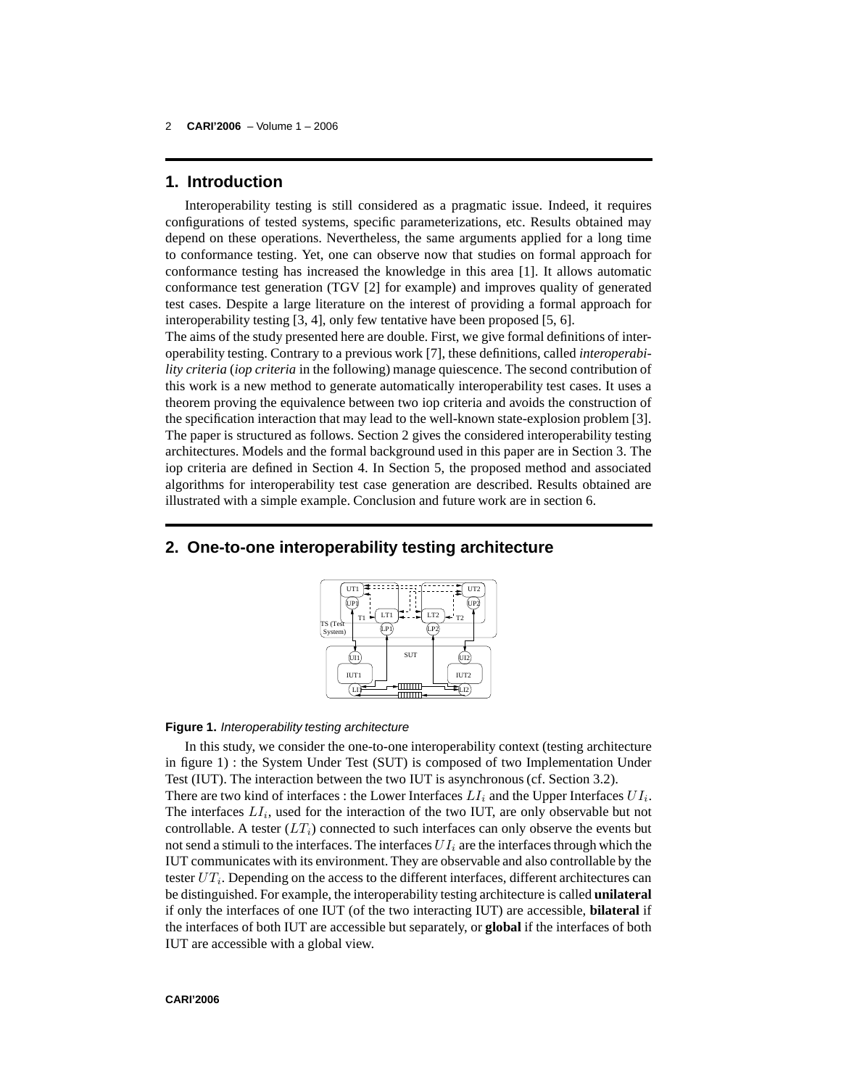# **1. Introduction**

Interoperability testing is still considered as a pragmatic issue. Indeed, it requires configurations of tested systems, specific parameterizations, etc. Results obtained may depend on these operations. Nevertheless, the same arguments applied for a long time to conformance testing. Yet, one can observe now that studies on formal approach for conformance testing has increased the knowledge in this area [1]. It allows automatic conformance test generation (TGV [2] for example) and improves quality of generated test cases. Despite a large literature on the interest of providing a formal approach for interoperability testing [3, 4], only few tentative have been proposed [5, 6].

The aims of the study presented here are double. First, we give formal definitions of interoperability testing. Contrary to a previous work [7], these definitions, called *interoperability criteria* (*iop criteria* in the following) manage quiescence. The second contribution of this work is a new method to generate automatically interoperability test cases. It uses a theorem proving the equivalence between two iop criteria and avoids the construction of the specification interaction that may lead to the well-known state-explosion problem [3]. The paper is structured as follows. Section 2 gives the considered interoperability testing architectures. Models and the formal background used in this paper are in Section 3. The iop criteria are defined in Section 4. In Section 5, the proposed method and associated algorithms for interoperability test case generation are described. Results obtained are illustrated with a simple example. Conclusion and future work are in section 6.

# **2. One-to-one interoperability testing architecture**



#### **Figure 1.** Interoperability testing architecture

In this study, we consider the one-to-one interoperability context (testing architecture in figure 1) : the System Under Test (SUT) is composed of two Implementation Under Test (IUT). The interaction between the two IUT is asynchronous (cf. Section 3.2). There are two kind of interfaces : the Lower Interfaces  $LI_i$  and the Upper Interfaces  $UI_i$ . The interfaces  $LI_i$ , used for the interaction of the two IUT, are only observable but not controllable. A tester  $(LT_i)$  connected to such interfaces can only observe the events but not send a stimuli to the interfaces. The interfaces  $UI_i$  are the interfaces through which the IUT communicates with its environment. They are observable and also controllable by the tester  $UT_i$ . Depending on the access to the different interfaces, different architectures can be distinguished. For example, the interoperability testing architecture is called **unilateral** if only the interfaces of one IUT (of the two interacting IUT) are accessible, **bilateral** if the interfaces of both IUT are accessible but separately, or **global** if the interfaces of both IUT are accessible with a global view.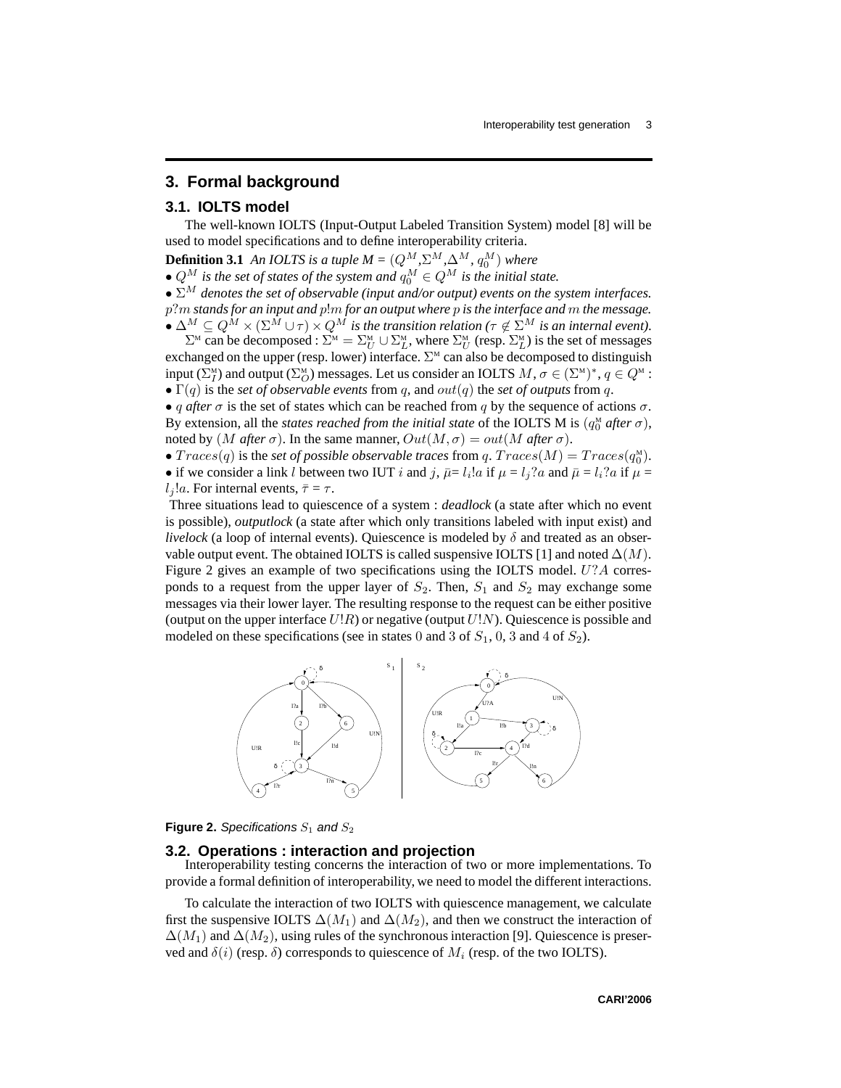## **3. Formal background**

### **3.1. IOLTS model**

The well-known IOLTS (Input-Output Labeled Transition System) model [8] will be used to model specifications and to define interoperability criteria.

**Definition 3.1** An *IOLTS* is a tuple  $M = (Q^M, \Sigma^M, \Delta^M, q_0^M)$  where

•  $Q^M$  *is the set of states of the system and*  $q_0^M \in Q^M$  *is the initial state.* 

• Σ<sup>M</sup> *denotes the set of observable (input and/or output) events on the system interfaces.*

p?m *standsfor an input and* p!m *for an output where* p *is the interface and* m *the message.*  $\bullet \Delta^M \subseteq Q^M \times (\Sigma^M \cup \tau) \times Q^M$  is the transition relation ( $\tau \notin \Sigma^M$  is an internal event).

 $\Sigma^M$  can be decomposed :  $\Sigma^M = \Sigma^M_U \cup \Sigma^M_L$ , where  $\Sigma^M_U$  (resp.  $\Sigma^M_L$ ) is the set of messages exchanged on the upper (resp. lower) interface.  $\Sigma^M$  can also be decomposed to distinguish input  $(\Sigma_I^M)$  and output  $(\Sigma_O^M)$  messages. Let us consider an IOLTS  $M, \sigma \in (\Sigma^M)^*$ ,  $q \in Q^M$ :

•  $\Gamma(q)$  is the *set of observable events* from q, and  $out(q)$  the *set of outputs* from q.

• q after  $\sigma$  is the set of states which can be reached from q by the sequence of actions  $\sigma$ . By extension, all the *states reached from the initial state* of the IOLTS M is  $(q_0^{\text{M}}$  *after*  $\sigma$ ), noted by (M *after*  $\sigma$ ). In the same manner,  $Out(M, \sigma) = out(M$  *after*  $\sigma)$ .

•  $Trace(q)$  is the *set of possible observable traces* from  $q$ .  $Trace(M) = Trace(q_0^M)$ .

• if we consider a link l between two IUT i and j,  $\bar{\mu} = l_i!a$  if  $\mu = l_j?a$  and  $\bar{\mu} = l_i?a$  if  $\mu =$ l<sub>i</sub>!a. For internal events,  $\bar{\tau} = \tau$ .

Three situations lead to quiescence of a system : *deadlock* (a state after which no event is possible), *outputlock* (a state after which only transitions labeled with input exist) and *livelock* (a loop of internal events). Quiescence is modeled by  $\delta$  and treated as an observable output event. The obtained IOLTS is called suspensive IOLTS [1] and noted  $\Delta(M)$ . Figure 2 gives an example of two specifications using the IOLTS model. U?A corresponds to a request from the upper layer of  $S_2$ . Then,  $S_1$  and  $S_2$  may exchange some messages via their lower layer. The resulting response to the request can be either positive (output on the upper interface  $U\cdot R$ ) or negative (output  $U\cdot N$ ). Quiescence is possible and modeled on these specifications (see in states 0 and 3 of  $S_1$ , 0, 3 and 4 of  $S_2$ ).





#### **3.2. Operations : interaction and projection**

Interoperability testing concerns the interaction of two or more implementations. To provide a formal definition of interoperability, we need to model the different interactions.

To calculate the interaction of two IOLTS with quiescence management, we calculate first the suspensive IOLTS  $\Delta(M_1)$  and  $\Delta(M_2)$ , and then we construct the interaction of  $\Delta(M_1)$  and  $\Delta(M_2)$ , using rules of the synchronous interaction [9]. Quiescence is preserved and  $\delta(i)$  (resp.  $\delta$ ) corresponds to quiescence of  $M_i$  (resp. of the two IOLTS).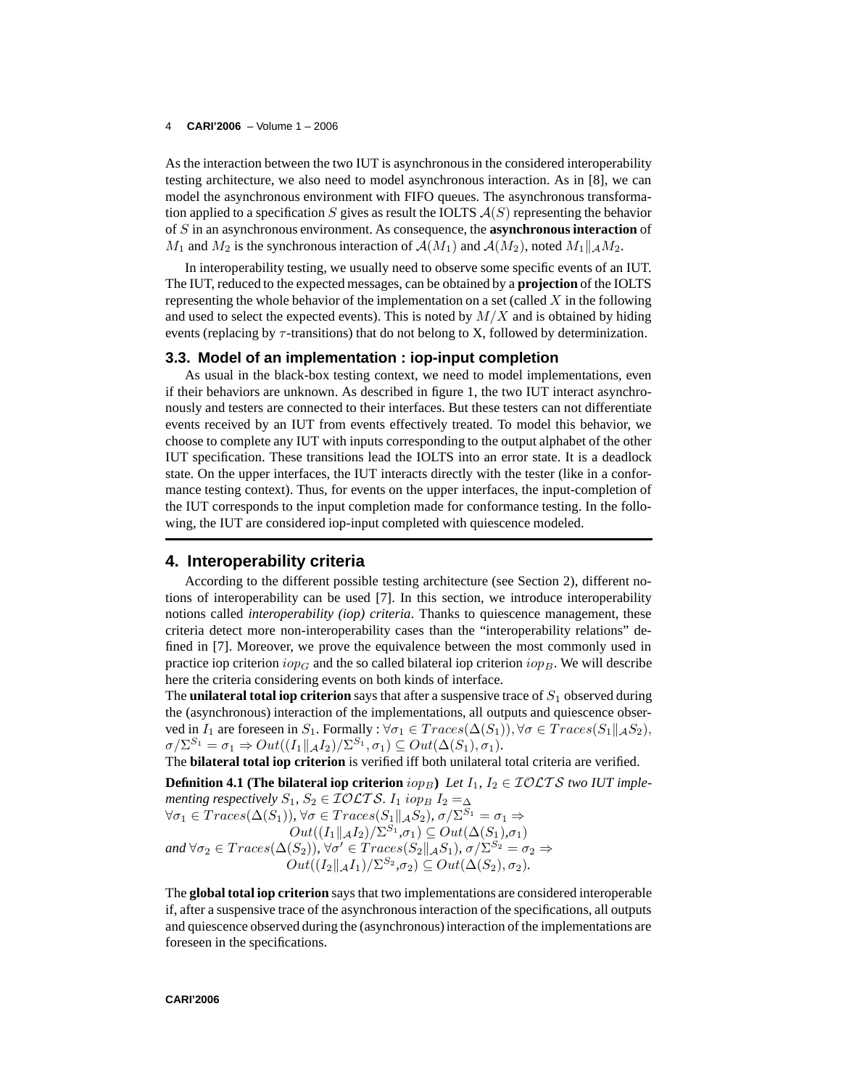#### 4 **CARI'2006** – Volume 1 – 2006

As the interaction between the two IUT is asynchronousin the considered interoperability testing architecture, we also need to model asynchronous interaction. As in [8], we can model the asynchronous environment with FIFO queues. The asynchronous transformation applied to a specification S gives as result the IOLTS  $\mathcal{A}(S)$  representing the behavior of S in an asynchronous environment. As consequence, the **asynchronous interaction** of  $M_1$  and  $M_2$  is the synchronous interaction of  $\mathcal{A}(M_1)$  and  $\mathcal{A}(M_2)$ , noted  $M_1||_{\mathcal{A}}M_2$ .

In interoperability testing, we usually need to observe some specific events of an IUT. The IUT, reduced to the expected messages, can be obtained by a **projection** of the IOLTS representing the whole behavior of the implementation on a set (called  $X$  in the following and used to select the expected events). This is noted by  $M/X$  and is obtained by hiding events (replacing by  $\tau$ -transitions) that do not belong to X, followed by determinization.

#### **3.3. Model of an implementation : iop-input completion**

As usual in the black-box testing context, we need to model implementations, even if their behaviors are unknown. As described in figure 1, the two IUT interact asynchronously and testers are connected to their interfaces. But these testers can not differentiate events received by an IUT from events effectively treated. To model this behavior, we choose to complete any IUT with inputs corresponding to the output alphabet of the other IUT specification. These transitions lead the IOLTS into an error state. It is a deadlock state. On the upper interfaces, the IUT interacts directly with the tester (like in a conformance testing context). Thus, for events on the upper interfaces, the input-completion of the IUT corresponds to the input completion made for conformance testing. In the following, the IUT are considered iop-input completed with quiescence modeled.

## **4. Interoperability criteria**

According to the different possible testing architecture (see Section 2), different notions of interoperability can be used [7]. In this section, we introduce interoperability notions called *interoperability (iop) criteria*. Thanks to quiescence management, these criteria detect more non-interoperability cases than the "interoperability relations" defined in [7]. Moreover, we prove the equivalence between the most commonly used in practice iop criterion  $i_{opG}$  and the so called bilateral iop criterion  $i_{opB}$ . We will describe here the criteria considering events on both kinds of interface.

The **unilateral total iop criterion** says that after a suspensive trace of  $S_1$  observed during the (asynchronous) interaction of the implementations, all outputs and quiescence observed in  $I_1$  are foreseen in  $S_1$ . Formally :  $\forall \sigma_1 \in Traces(\Delta(S_1)), \forall \sigma \in Traces(S_1 \|_{\mathcal{A}} S_2),$  $\sigma/\Sigma^{S_1} = \sigma_1 \Rightarrow Out((I_1||_{\mathcal{A}}I_2)/\Sigma^{S_1}, \sigma_1) \subseteq Out(\Delta(S_1), \sigma_1).$ 

The **bilateral total iop criterion** is verified iff both unilateral total criteria are verified.

**Definition 4.1** (The bilateral iop criterion  $i_{OPB}$ ) Let  $I_1$ ,  $I_2 \in \mathcal{IOLTS}$  two IUT imple*menting respectively*  $S_1$ ,  $S_2 \in \mathcal{IOLTS}$ .  $I_1$   $iop_B I_2 = \Delta$  $\forall \sigma_1 \in Traces(\Delta(S_1)), \forall \sigma \in Traces(S_1 ||_{\mathcal{A}} S_2), \sigma/\Sigma^{S_1} = \sigma_1 \Rightarrow$  $Out((I_1||_{\mathcal{A}}I_2)/\Sigma^{S_1},\sigma_1) \subseteq Out(\Delta(S_1),\sigma_1)$ and  $\forall \sigma_2 \in Traces(\Delta(S_2)), \forall \sigma' \in Traces(S_2||_{\mathcal{A}}S_1), \sigma/\Sigma^{S_2} = \sigma_2 \Rightarrow$  $Out((I_2||_{\mathcal{A}}I_1)/\Sigma^{S_2},\sigma_2) \subseteq Out(\Delta(S_2),\sigma_2).$ 

The **global total iop criterion** says that two implementations are considered interoperable if, after a suspensive trace of the asynchronousinteraction of the specifications, all outputs and quiescence observed during the (asynchronous) interaction of the implementations are foreseen in the specifications.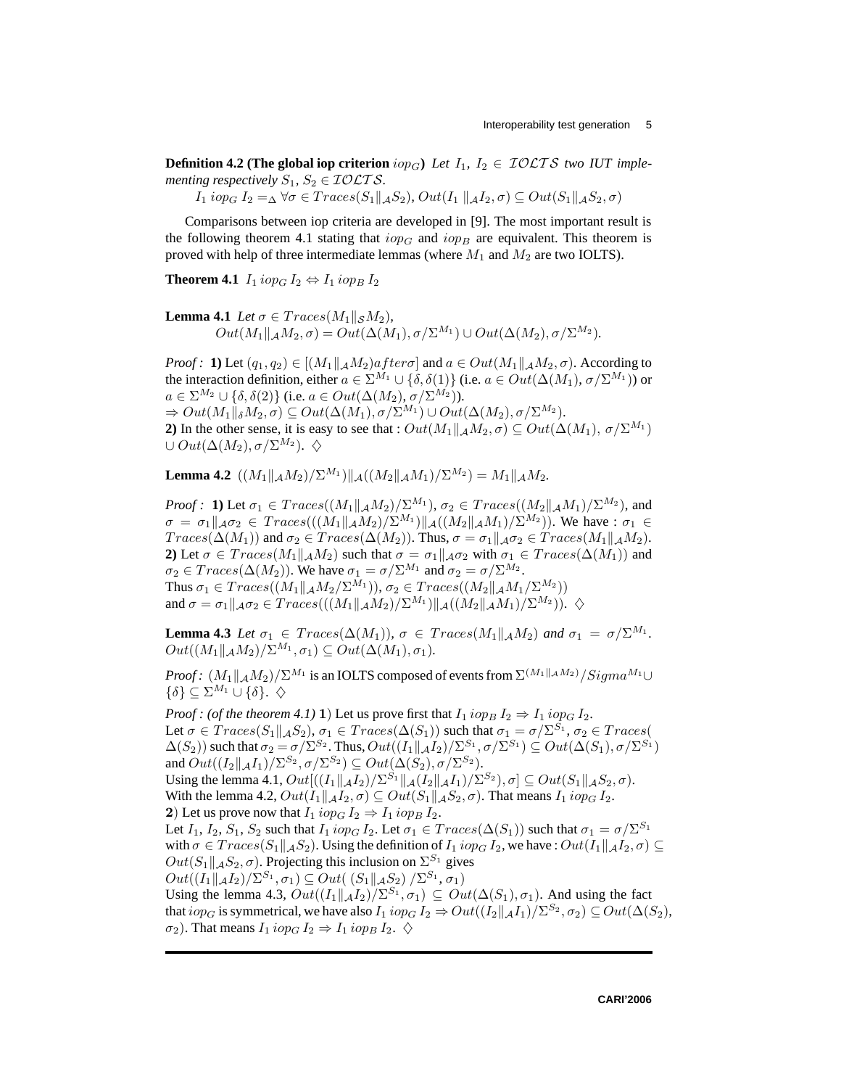**Definition 4.2** (The global iop criterion  $i_{OPG}$ ) Let  $I_1$ ,  $I_2 \in \mathcal{IOLTS}$  *two IUT implementing respectively*  $S_1$ ,  $S_2 \in \mathcal{IOLTS}$ *.* 

 $I_1$  iop<sub>G</sub>  $I_2 = \Delta \ \forall \sigma \in Traces(S_1 \|_{\mathcal{A}} S_2)$ ,  $Out(I_1 \|_{\mathcal{A}} I_2, \sigma) \subseteq Out(S_1 \|_{\mathcal{A}} S_2, \sigma)$ 

Comparisons between iop criteria are developed in [9]. The most important result is the following theorem 4.1 stating that  $i_{opG}$  and  $i_{opB}$  are equivalent. This theorem is proved with help of three intermediate lemmas (where  $M_1$  and  $M_2$  are two IOLTS).

**Theorem 4.1**  $I_1$  iop<sub>G</sub>  $I_2 \Leftrightarrow I_1$  iop<sub>B</sub>  $I_2$ 

**Lemma 4.1** *Let*  $\sigma \in Trace(M_1||_S M_2)$ *,*  $Out(M_1||_\mathcal{A}M_2, \sigma) = Out(\Delta(M_1), \sigma/\Sigma^{M_1}) \cup Out(\Delta(M_2), \sigma/\Sigma^{M_2}).$ 

*Proof*: **1**) Let  $(q_1, q_2) \in [(M_1||_A M_2)after\sigma]$  and  $a \in Out(M_1||_A M_2, \sigma)$ . According to the interaction definition, either  $a \in \Sigma^{M_1} \cup \{\delta, \delta(1)\}\$  (i.e.  $a \in Out(\Delta(M_1), \sigma/\Sigma^{M_1})$ ) or  $a \in \Sigma^{M_2} \cup \{\delta, \delta(2)\}\$  (i.e.  $a \in Out(\Delta(M_2), \sigma/\Sigma^{M_2})$ ).  $\Rightarrow Out(M_1||_{\delta}M_2, \sigma) \subseteq Out(\Delta(M_1), \sigma/\Sigma^{M_1}) \cup Out(\Delta(M_2), \sigma/\Sigma^{M_2}).$ **2)** In the other sense, it is easy to see that :  $Out(M_1||_A M_2, \sigma) \subseteq Out(\Delta(M_1), \sigma/\Sigma^{M_1})$  $\cup Out(\Delta(M_2), \sigma/\Sigma^{M_2}).$   $\diamondsuit$ 

**Lemma 4.2**  $((M_1||_A M_2)/\Sigma^{M_1})||_A((M_2||_A M_1)/\Sigma^{M_2}) = M_1||_A M_2.$ 

*Proof* : **1**) Let  $\sigma_1 \in Trace((M_1||_A M_2)/\Sigma^{M_1})$ ,  $\sigma_2 \in Trace((M_2||_A M_1)/\Sigma^{M_2})$ , and  $\sigma = \sigma_1||_{\mathcal{A}}\sigma_2 \in Traces(((M_1||_{\mathcal{A}}M_2)/\Sigma^{M_1})||_{\mathcal{A}}((M_2||_{\mathcal{A}}M_1)/\Sigma^{M_2}))$ . We have :  $\sigma_1 \in$  $Trace(\Delta(M_1))$  and  $\sigma_2 \in Trace(\Delta(M_2))$ . Thus,  $\sigma = \sigma_1 ||_A \sigma_2 \in Trace(M_1 ||_A M_2)$ . **2)** Let  $\sigma \in Traces(M_1||_A M_2)$  such that  $\sigma = \sigma_1||_A \sigma_2$  with  $\sigma_1 \in Traces(\Delta(M_1))$  and  $\sigma_2 \in Traces(\Delta(M_2))$ . We have  $\sigma_1 = \sigma/\Sigma^{M_1}$  and  $\sigma_2 = \sigma/\Sigma^{M_2}$ . Thus  $\sigma_1 \in Traces((M_1||_\mathcal{A} M_2/\Sigma^{M_1})), \sigma_2 \in Traces((M_2||_\mathcal{A} M_1/\Sigma^{M_2}))$ and  $\sigma = \sigma_1||_{\mathcal{A}}\sigma_2 \in Traces(((M_1||_{\mathcal{A}}M_2)/\Sigma^{M_1})||_{\mathcal{A}}((M_2||_{\mathcal{A}}M_1)/\Sigma^{M_2})).$   $\diamondsuit$ 

**Lemma 4.3** *Let*  $\sigma_1 \in Trace(\Delta(M_1)), \sigma \in Trace(M_1||_A M_2)$  *and*  $\sigma_1 = \sigma/\Sigma^{M_1}$ *.*  $Out((M_1||_\mathcal{A} M_2)/\Sigma^{M_1}, \sigma_1) \subseteq Out(\Delta(M_1), \sigma_1).$ 

*Proof* :  $(M_1\|_\mathcal{A} M_2) / \Sigma^{M_1}$  is an IOLTS composed of events from  $\Sigma^{(M_1\|_\mathcal{A} M_2)}/Sigma^{M_1} \cup$  $\{\delta\} \subset \Sigma^{M_1} \cup \{\delta\}.$ 

*Proof* : (of the theorem 4.1) 1) Let us prove first that  $I_1$  iop<sub>B</sub>  $I_2 \Rightarrow I_1$  iop<sub>G</sub>  $I_2$ . Let  $\sigma \in Traces(S_1 \|_{\mathcal{A}} S_2), \sigma_1 \in Traces(\Delta(S_1))$  such that  $\sigma_1 = \sigma/\Sigma^{S_1}, \sigma_2 \in Traces($  $\Delta(S_2)$ ) such that  $\sigma_2 = \sigma/\Sigma^{S_2}$ . Thus,  $Out((I_1||_{\mathcal{A}}I_2)/\Sigma^{S_1}, \sigma/\Sigma^{S_1}) \subseteq Out(\Delta(S_1), \sigma/\Sigma^{S_1})$ and  $Out((I_2||_{\mathcal{A}}I_1)/\Sigma^{S_2}, \sigma/\Sigma^{S_2}) \subseteq Out(\Delta(S_2), \sigma/\Sigma^{S_2}).$ Using the lemma 4.1,  $Out[((I_1\|_{\mathcal{A}} I_2)/\Sigma^{S_1}\|_{\mathcal{A}} (I_2\|_{\mathcal{A}} I_1)/\Sigma^{S_2}), \sigma] \subseteq Out(S_1\|_{\mathcal{A}} S_2, \sigma).$ With the lemma 4.2,  $Out(I_1||_A I_2, \sigma) \subseteq Out(S_1||_A S_2, \sigma)$ . That means  $I_1$  iop<sub>G</sub>  $I_2$ . 2) Let us prove now that  $I_1$  iop<sub>G</sub>  $I_2 \Rightarrow I_1$  iop<sub>B</sub>  $I_2$ . Let  $I_1$ ,  $I_2$ ,  $S_1$ ,  $S_2$  such that  $I_1$   $i$   $op_G I_2$ . Let  $\sigma_1 \in Traces(\Delta(S_1))$  such that  $\sigma_1 = \sigma/\Sigma^{S_1}$ with  $\sigma \in Traces(S_1||_{\mathcal{A}}S_2)$ . Using the definition of  $I_1$  iop<sub>G</sub>  $I_2$ , we have :  $Out(I_1||_{\mathcal{A}}I_2, \sigma) \subseteq$  $Out(S_1 \|_{A}S_2, \sigma)$ . Projecting this inclusion on  $\Sigma^{S_1}$  gives  $Out((I_1||_{\mathcal{A}}I_2)/\Sigma^{S_1}, \sigma_1) \subseteq Out((S_1||_{\mathcal{A}}S_2)/\Sigma^{S_1}, \sigma_1)$ Using the lemma 4.3,  $Out((I_1||_A I_2)/\Sigma^{S_1}, \sigma_1) \subseteq Out(\Delta(S_1), \sigma_1)$ . And using the fact that  $i$ o $p_G$  is symmetrical, we have also  $I_1$   $i$ o $p_G$   $I_2 \Rightarrow Out((I_2\|_{\mathcal{A}} I_1)/\Sigma^{S_2}, \sigma_2) \subseteq Out(\Delta(S_2),$  $\sigma_2$ ). That means  $I_1$  iop<sub>G</sub>  $I_2 \Rightarrow I_1$  iop<sub>B</sub>  $I_2$ .  $\diamondsuit$ 

**CARI'2006**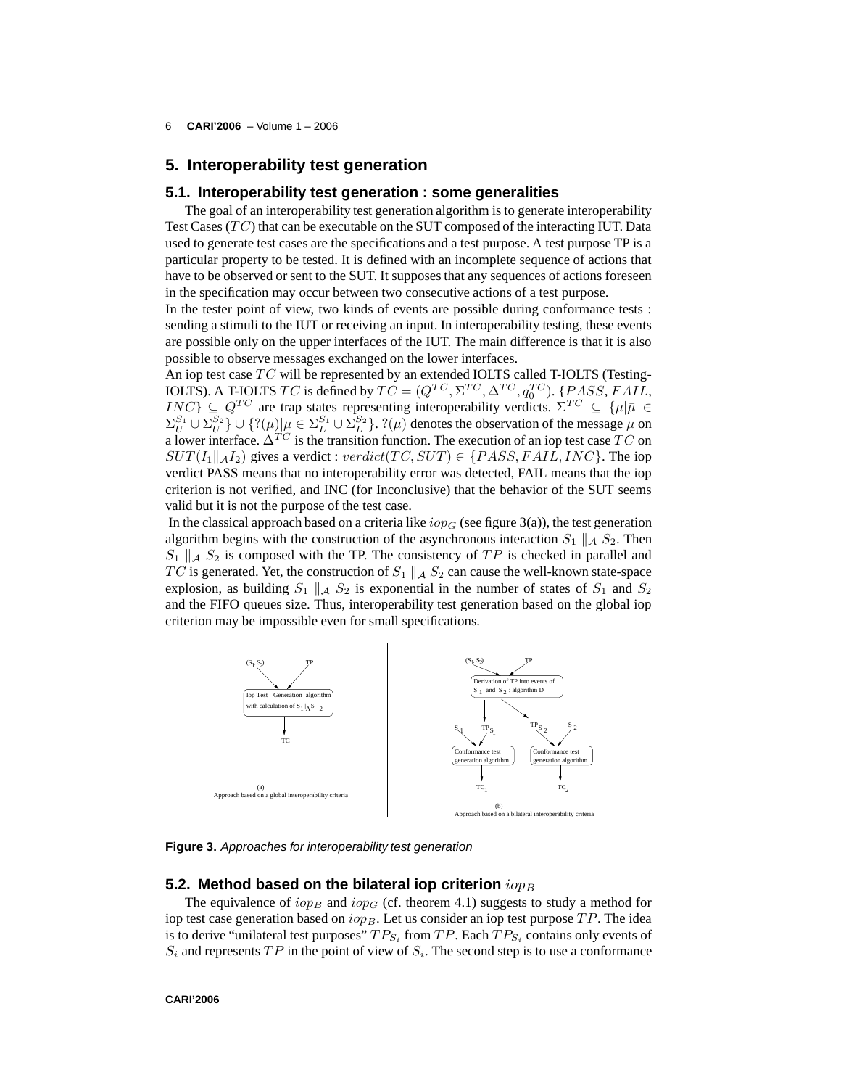6 **CARI'2006** – Volume 1 – 2006

# **5. Interoperability test generation**

#### **5.1. Interoperability test generation : some generalities**

The goal of an interoperability test generation algorithm is to generate interoperability Test Cases  $(T C)$  that can be executable on the SUT composed of the interacting IUT. Data used to generate test cases are the specifications and a test purpose. A test purpose TP is a particular property to be tested. It is defined with an incomplete sequence of actions that have to be observed or sent to the SUT. It supposes that any sequences of actions foreseen in the specification may occur between two consecutive actions of a test purpose.

In the tester point of view, two kinds of events are possible during conformance tests : sending a stimuli to the IUT or receiving an input. In interoperability testing, these events are possible only on the upper interfaces of the IUT. The main difference is that it is also possible to observe messages exchanged on the lower interfaces.

An iop test case  $TC$  will be represented by an extended IOLTS called T-IOLTS (Testing-IOLTS). A T-IOLTS TC is defined by  $TC = (Q^{TC}, \Sigma^{TC}, \Delta^{TC}, q_0^{TC})$ . {PASS, FAIL,  $INC$ }  $\subseteq$   $Q^{TC}$  are trap states representing interoperability verdicts.  $\Sigma^{TC} \subseteq \{\mu | \bar{\mu} \in$  $\Sigma_U^{S_1} \cup \Sigma_U^{S_2}$   $\} \cup \{?(\mu) | \mu \in \Sigma_L^{S_1} \cup \Sigma_L^{S_2} \}$ .  $?(\mu)$  denotes the observation of the message  $\mu$  on a lower interface.  $\Delta^{TC}$  is the transition function. The execution of an iop test case  $TC$  on  $SUT(I_1||_A I_2)$  gives a verdict : verdict(TC, SUT)  $\in \{PASS, FAIL, INC\}$ . The iop verdict PASS means that no interoperability error was detected, FAIL means that the iop criterion is not verified, and INC (for Inconclusive) that the behavior of the SUT seems valid but it is not the purpose of the test case.

In the classical approach based on a criteria like  $i_{\text{op}_G}$  (see figure 3(a)), the test generation algorithm begins with the construction of the asynchronous interaction  $S_1 \parallel_A S_2$ . Then  $S_1 \parallel_A S_2$  is composed with the TP. The consistency of TP is checked in parallel and TC is generated. Yet, the construction of  $S_1 \parallel A S_2$  can cause the well-known state-space explosion, as building  $S_1 \parallel_A S_2$  is exponential in the number of states of  $S_1$  and  $S_2$ and the FIFO queues size. Thus, interoperability test generation based on the global iop criterion may be impossible even for small specifications.



**Figure 3.** Approaches for interoperability test generation

#### **5.2. Method based on the bilateral iop criterion**  $i_{OPB}$

The equivalence of  $i_{opB}$  and  $i_{opC}$  (cf. theorem 4.1) suggests to study a method for iop test case generation based on  $iop_B$ . Let us consider an iop test purpose  $TP$ . The idea is to derive "unilateral test purposes"  $TP_{S_i}$  from  $TP$ . Each  $TP_{S_i}$  contains only events of  $S_i$  and represents  $TP$  in the point of view of  $S_i$ . The second step is to use a conformance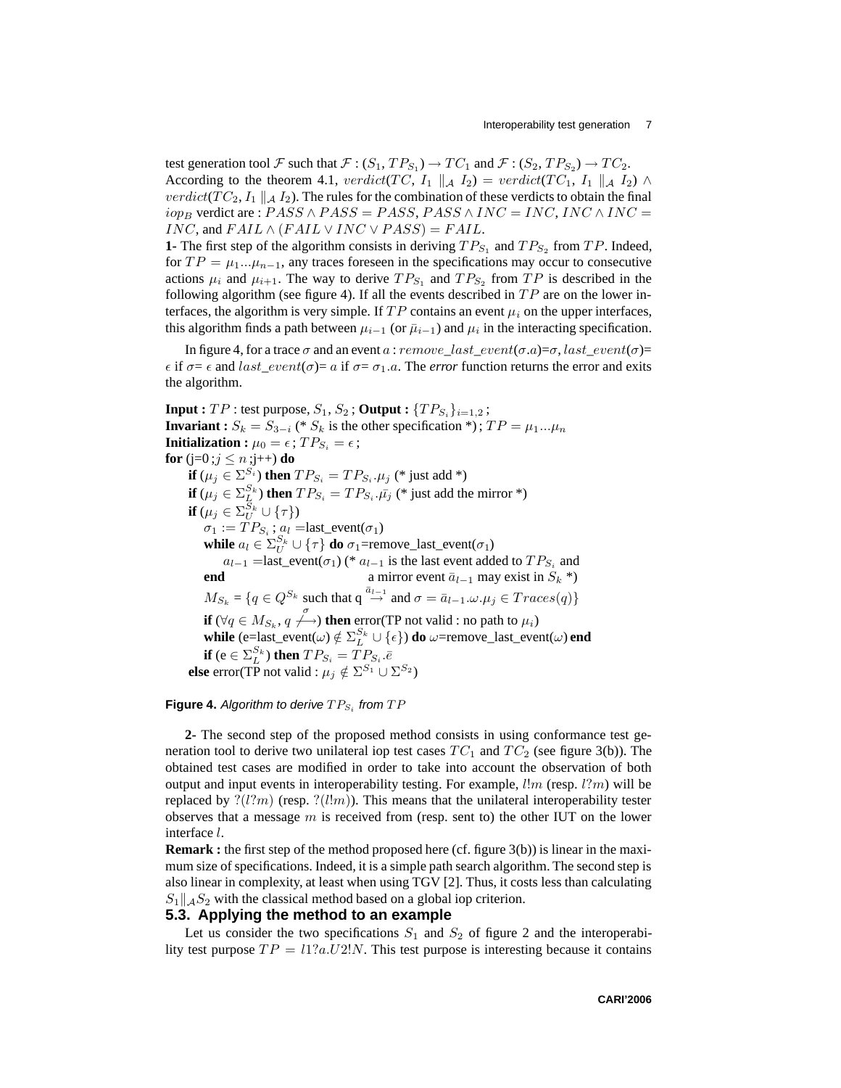test generation tool F such that  $\mathcal{F}: (S_1, TP_{S_1}) \to TC_1$  and  $\mathcal{F}: (S_2, TP_{S_2}) \to TC_2$ . According to the theorem 4.1, verdict(TC, I<sub>1</sub>  $\parallel$  A I<sub>2</sub>) = verdict(TC<sub>1</sub>, I<sub>1</sub>  $\parallel$  A I<sub>2</sub>)  $\land$ verdict( $TC_2$ ,  $I_1 \parallel_A I_2$ ). The rules for the combination of these verdicts to obtain the final  $iop_B$  verdict are :  $PASS \wedge PASS = PASS$ ,  $PASS \wedge INC = INC$ ,  $INC \wedge INC =$  $INC$ , and  $FAIL \wedge (FAIL \vee INC \vee PASS) = FAIL$ .

**1-** The first step of the algorithm consists in deriving  $TP_{S_1}$  and  $TP_{S_2}$  from  $TP$ . Indeed, for  $TP = \mu_1...\mu_{n-1}$ , any traces foreseen in the specifications may occur to consecutive actions  $\mu_i$  and  $\mu_{i+1}$ . The way to derive  $TP_{S_1}$  and  $TP_{S_2}$  from  $TP$  is described in the following algorithm (see figure 4). If all the events described in  $TP$  are on the lower interfaces, the algorithm is very simple. If  $TP$  contains an event  $\mu_i$  on the upper interfaces, this algorithm finds a path between  $\mu_{i-1}$  (or  $\bar{\mu}_{i-1}$ ) and  $\mu_i$  in the interacting specification.

In figure 4, for a trace  $\sigma$  and an event a : remove last event( $\sigma$ .a)= $\sigma$ , last event( $\sigma$ )=  $\epsilon$  if  $\sigma = \epsilon$  and *last*  $event(\sigma) = a$  if  $\sigma = \sigma_1.a$ . The *error* function returns the error and exits the algorithm.

**Input :**  $TP$  : test purpose,  $S_1$ ,  $S_2$  **; Output :**  $\{TP_{S_i}\}_{i=1,2}$  **; Invariant :**  $S_k = S_{3-i}$  (\*  $S_k$  is the other specification \*);  $TP = \mu_1...\mu_n$ **Initialization :**  $\mu_0 = \epsilon$ ;  $TP_{S_i} = \epsilon$ ; **for** (**j**=0; $j \le n$ ;**j**++) **do if**  $(\mu_j \in \Sigma^{S_i})$  **then**  $TP_{S_i} = TP_{S_i}$ .  $\mu_j$  (\* just add \*) **if**  $(\mu_j \in \Sigma_{\underline{L}}^{S_k})$  **then**  $TP_{S_i} = TP_{S_i}.\bar{\mu_j}$  (\* just add the mirror \*) **if**  $(\mu_j \in \Sigma^{S_k}_U \cup {\{\tau\}})$  $\sigma_1 := TP_{S_i}$ ;  $a_l$  =last\_event( $\sigma_1$ ) **while**  $a_l \in \sum_{U}^{S_k} \cup \{\tau\}$  **do**  $\sigma_1$ =remove\_last\_event( $\sigma_1$ )  $a_{l-1}$  =last\_event( $\sigma_1$ ) (\*  $a_{l-1}$  is the last event added to  $TP_{S_i}$  and **end** a mirror event  $\overline{a}_{l-1}$  may exist in  $S_k$  \*)  $M_{S_k} = \{q \in Q^{S_k} \text{ such that } q \stackrel{\bar{a}_{l-1}}{\rightarrow} \text{ and } \sigma = \bar{a}_{l-1}.\omega.\mu_j \in Trace(q)\}\$ **if**  $(\forall q \in M_{S_k}, q \nightharpoonup)$  **then** error(TP not valid : no path to  $\mu_i$ ) **while** (e=last\_event( $\omega$ )  $\notin \sum_{L}^{S_k} \cup {\epsilon}$ ) **do**  $\omega$ =remove\_last\_event( $\omega$ ) **end if** (e  $\in \Sigma_L^{S_k}$ ) **then**  $TP_{S_i} = TP_{S_i}.\bar{e}$ **else** error(TP not valid :  $\mu_j \notin \Sigma^{S_1} \cup \Sigma^{S_2}$ )

## **Figure 4.** Algorithm to derive  $TP_{S_i}$  from  $TP$

**2-** The second step of the proposed method consists in using conformance test generation tool to derive two unilateral iop test cases  $TC_1$  and  $TC_2$  (see figure 3(b)). The obtained test cases are modified in order to take into account the observation of both output and input events in interoperability testing. For example,  $\ell!m$  (resp.  $\ell?m$ ) will be replaced by  $\mathcal{P}(l?m)$  (resp.  $\mathcal{P}(l!m)$ ). This means that the unilateral interoperability tester observes that a message  $m$  is received from (resp. sent to) the other IUT on the lower interface l.

**Remark :** the first step of the method proposed here (cf. figure 3(b)) is linear in the maximum size of specifications. Indeed, it is a simple path search algorithm. The second step is also linear in complexity, at least when using TGV [2]. Thus, it costs less than calculating  $S_1||_A S_2$  with the classical method based on a global iop criterion.

## **5.3. Applying the method to an example**

Let us consider the two specifications  $S_1$  and  $S_2$  of figure 2 and the interoperability test purpose  $TP = 11$ ? $a.U2!N$ . This test purpose is interesting because it contains